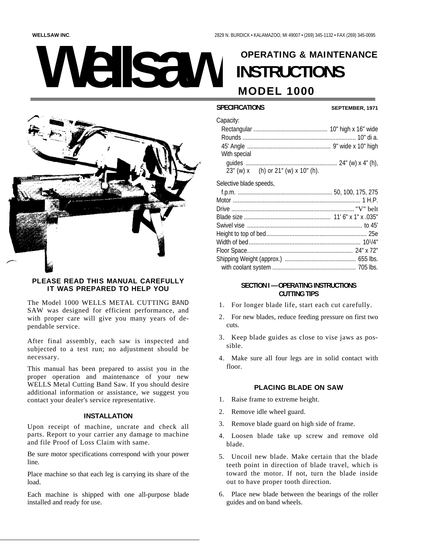# **OPERATING & MAINTENANCE ellsav INSTRUCTIONS MODEL 1000**



# PLEASE READ THIS MANUAL CAREFULLY IT WAS PREPARED TO HELP YOU

The Model 1000 WELLS METAL CUTTING BAND SAW was designed for efficient performance, and with proper care will give you many years of dependable service.

After final assembly, each saw is inspected and subjected to a test run; no adjustment should be necessary.

This manual has been prepared to assist you in the proper operation and maintenance of your new WELLS Metal Cutting Band Saw. If you should desire additional information or assistance, we suggest you contact your dealer's service representative.

## **INSTALLATION**

Upon receipt of machine, uncrate and check all parts. Report to your carrier any damage to machine and file Proof of Loss Claim with same.

Be sure motor specifications correspond with your power line.

Place machine so that each leg is carrying its share of the load.

Each machine is shipped with one all-purpose blade installed and ready for use.

# **SPECIFICATIONS**

#### SEPTEMBER, 1971

| Capacity:    |                                              |
|--------------|----------------------------------------------|
|              |                                              |
|              |                                              |
|              |                                              |
| With special |                                              |
|              |                                              |
|              | $23''$ (w) x (h) or $21''$ (w) x $10''$ (h). |

Selective blade speeds,

## **SECTION I - OPERATING INSTRUCTIONS CUTTING TIPS**

- 1. For longer blade life, start each cut carefully.
- 2. For new blades, reduce feeding pressure on first two cuts.
- 3. Keep blade guides as close to vise jaws as possible.
- 4. Make sure all four legs are in solid contact with floor.

# PLACING BLADE ON SAW

- 1. Raise frame to extreme height.
- 2. Remove idle wheel guard.
- 3. Remove blade guard on high side of frame.
- 4. Loosen blade take up screw and remove old blade.
- 5. Uncoil new blade. Make certain that the blade teeth point in direction of blade travel, which is toward the motor. If not, turn the blade inside out to have proper tooth direction.
- 6. Place new blade between the bearings of the roller guides and on band wheels.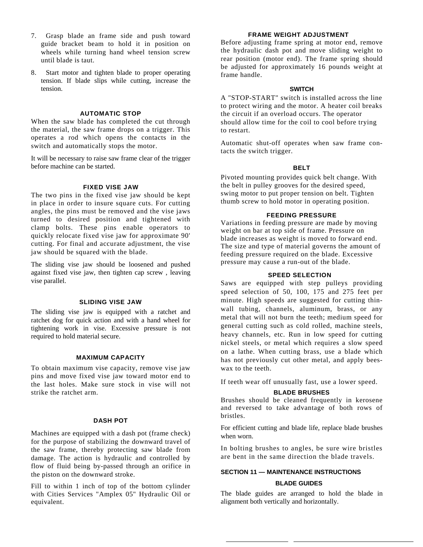- 7. Grasp blade an frame side and push toward guide bracket beam to hold it in position on wheels while turning hand wheel tension screw until blade is taut.
- 8. Start motor and tighten blade to proper operating tension. If blade slips while cutting, increase the tension.

## **AUTOMATIC STOP**

When the saw blade has completed the cut through the material, the saw frame drops on a trigger. This operates a rod which opens the contacts in the switch and automatically stops the motor.

It will be necessary to raise saw frame clear of the trigger before machine can be started.

## **FIXED VISE JAW**

The two pins in the fixed vise jaw should be kept in place in order to insure square cuts. For cutting angles, the pins must be removed and the vise jaws turned to desired position and tightened with clamp bolts. These pins enable operators to quickly relocate fixed vise jaw for approximate 90' cutting. For final and accurate adjustment, the vise jaw should be squared with the blade.

The sliding vise jaw should be loosened and pushed against fixed vise jaw, then tighten cap screw , leaving vise parallel.

### **SLIDING VISE JAW**

The sliding vise jaw is equipped with a ratchet and ratchet dog for quick action and with a hand wheel for tightening work in vise. Excessive pressure is not required to hold material secure.

#### **MAXIMUM CAPACITY**

To obtain maximum vise capacity, remove vise jaw pins and move fixed vise jaw toward motor end to the last holes. Make sure stock in vise will not strike the ratchet arm.

#### **DASH POT**

Machines are equipped with a dash pot (frame check) for the purpose of stabilizing the downward travel of the saw frame, thereby protecting saw blade from damage. The action is hydraulic and controlled by flow of fluid being by-passed through an orifice in the piston on the downward stroke.

Fill to within 1 inch of top of the bottom cylinder with Cities Services "Amplex 05" Hydraulic Oil or equivalent.

## **FRAME WEIGHT ADJUSTMENT**

Before adjusting frame spring at motor end, remove the hydraulic dash pot and move sliding weight to rear position (motor end). The frame spring should be adjusted for approximately 16 pounds weight at frame handle.

### **SWITCH**

A "STOP-START" switch is installed across the line to protect wiring and the motor. A heater coil breaks the circuit if an overload occurs. The operator should allow time for the coil to cool before trying to restart.

Automatic shut-off operates when saw frame contacts the switch trigger.

#### **BELT**

Pivoted mounting provides quick belt change. With the belt in pulley grooves for the desired speed, swing motor to put proper tension on belt. Tighten thumb screw to hold motor in operating position.

#### **FEEDING PRESSURE**

Variations in feeding pressure are made by moving weight on bar at top side of frame. Pressure on blade increases as weight is moved to forward end. The size and type of material governs the amount of feeding pressure required on the blade. Excessive pressure may cause a run-out of the blade.

## **SPEED SELECTION**

Saws are equipped with step pulleys providing speed selection of 50, 100, 175 and 275 feet per minute. High speeds are suggested for cutting thinwall tubing, channels, aluminum, brass, or any metal that will not burn the teeth; medium speed for general cutting such as cold rolled, machine steels, heavy channels, etc. Run in low speed for cutting nickel steels, or metal which requires a slow speed on a lathe. When cutting brass, use a blade which has not previously cut other metal, and apply beeswax to the teeth.

If teeth wear off unusually fast, use a lower speed.

#### **BLADE BRUSHES**

Brushes should be cleaned frequently in kerosene and reversed to take advantage of both rows of bristles.

For efficient cutting and blade life, replace blade brushes when worn.

In bolting brushes to angles, be sure wire bristles are bent in the same direction the blade travels.

# **SECTION 11 — MAINTENANCE INSTRUCTIONS BLADE GUIDES**

The blade guides are arranged to hold the blade in alignment both vertically and horizontally.